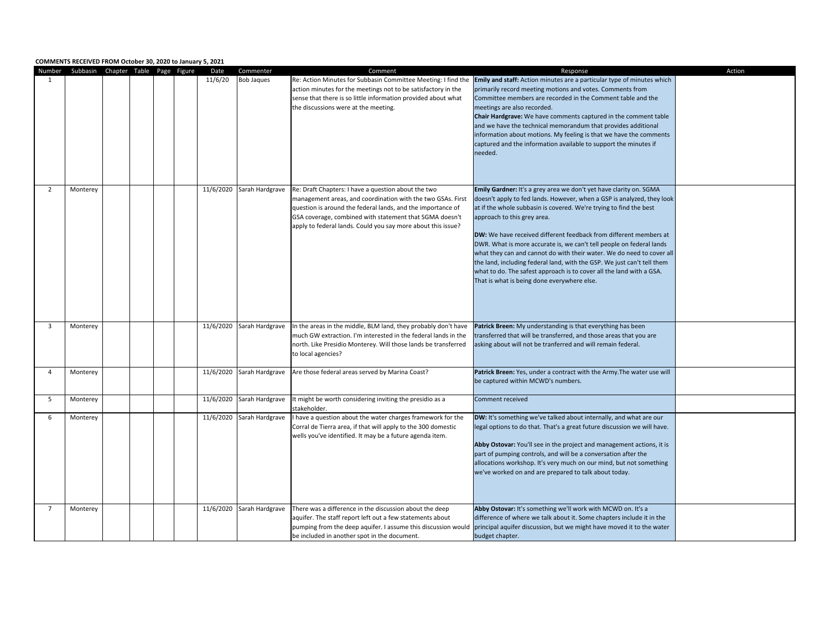|                | COMMENTS RECEIVED FROM October 30, 2020 to January 5, 2021 |  |  |                 |                                |                                                                                                                                                                                                                                                                                                              |                                                                                                                                                                                                                                                                                                                                                                                                                                                                                                                                                                                                                                                                           |        |
|----------------|------------------------------------------------------------|--|--|-----------------|--------------------------------|--------------------------------------------------------------------------------------------------------------------------------------------------------------------------------------------------------------------------------------------------------------------------------------------------------------|---------------------------------------------------------------------------------------------------------------------------------------------------------------------------------------------------------------------------------------------------------------------------------------------------------------------------------------------------------------------------------------------------------------------------------------------------------------------------------------------------------------------------------------------------------------------------------------------------------------------------------------------------------------------------|--------|
| Number<br>1    | Subbasin Chapter Table Page Figure                         |  |  | Date<br>11/6/20 | Commenter<br><b>Bob Jaques</b> | Comment<br>Re: Action Minutes for Subbasin Committee Meeting: I find the<br>action minutes for the meetings not to be satisfactory in the<br>sense that there is so little information provided about what<br>the discussions were at the meeting.                                                           | Response<br>Emily and staff: Action minutes are a particular type of minutes which<br>primarily record meeting motions and votes. Comments from<br>Committee members are recorded in the Comment table and the<br>meetings are also recorded.<br>Chair Hardgrave: We have comments captured in the comment table<br>and we have the technical memorandum that provides additional<br>information about motions. My feeling is that we have the comments<br>captured and the information available to support the minutes if<br>needed.                                                                                                                                    | Action |
| $\overline{2}$ | Monterey                                                   |  |  | 11/6/2020       | Sarah Hardgrave                | Re: Draft Chapters: I have a question about the two<br>management areas, and coordination with the two GSAs. First<br>question is around the federal lands, and the importance of<br>GSA coverage, combined with statement that SGMA doesn't<br>apply to federal lands. Could you say more about this issue? | Emily Gardner: It's a grey area we don't yet have clarity on. SGMA<br>doesn't apply to fed lands. However, when a GSP is analyzed, they look<br>at if the whole subbasin is covered. We're trying to find the best<br>approach to this grey area.<br>DW: We have received different feedback from different members at<br>DWR. What is more accurate is, we can't tell people on federal lands<br>what they can and cannot do with their water. We do need to cover all<br>the land, including federal land, with the GSP. We just can't tell them<br>what to do. The safest approach is to cover all the land with a GSA.<br>That is what is being done everywhere else. |        |
| $\overline{3}$ | Monterey                                                   |  |  |                 | 11/6/2020 Sarah Hardgrave      | In the areas in the middle, BLM land, they probably don't have<br>much GW extraction. I'm interested in the federal lands in the<br>north. Like Presidio Monterey. Will those lands be transferred<br>to local agencies?                                                                                     | Patrick Breen: My understanding is that everything has been<br>transferred that will be transferred, and those areas that you are<br>asking about will not be tranferred and will remain federal.                                                                                                                                                                                                                                                                                                                                                                                                                                                                         |        |
| $\overline{4}$ | Monterey                                                   |  |  |                 | 11/6/2020 Sarah Hardgrave      | Are those federal areas served by Marina Coast?                                                                                                                                                                                                                                                              | Patrick Breen: Yes, under a contract with the Army. The water use will<br>be captured within MCWD's numbers.                                                                                                                                                                                                                                                                                                                                                                                                                                                                                                                                                              |        |
| 5              | Monterey                                                   |  |  |                 | 11/6/2020 Sarah Hardgrave      | It might be worth considering inviting the presidio as a<br>stakeholder.                                                                                                                                                                                                                                     | Comment received                                                                                                                                                                                                                                                                                                                                                                                                                                                                                                                                                                                                                                                          |        |
| 6              | Monterey                                                   |  |  | 11/6/2020       | Sarah Hardgrave                | I have a question about the water charges framework for the<br>Corral de Tierra area, if that will apply to the 300 domestic<br>wells you've identified. It may be a future agenda item.                                                                                                                     | DW: It's something we've talked about internally, and what are our<br>egal options to do that. That's a great future discussion we will have.<br>Abby Ostovar: You'll see in the project and management actions, it is<br>part of pumping controls, and will be a conversation after the<br>allocations workshop. It's very much on our mind, but not something<br>we've worked on and are prepared to talk about today.                                                                                                                                                                                                                                                  |        |
| - 7            | Monterey                                                   |  |  |                 | 11/6/2020 Sarah Hardgrave      | There was a difference in the discussion about the deep<br>aquifer. The staff report left out a few statements about<br>pumping from the deep aquifer. I assume this discussion would<br>be included in another spot in the document.                                                                        | Abby Ostovar: It's something we'll work with MCWD on. It's a<br>difference of where we talk about it. Some chapters include it in the<br>principal aquifer discussion, but we might have moved it to the water<br>budget chapter.                                                                                                                                                                                                                                                                                                                                                                                                                                         |        |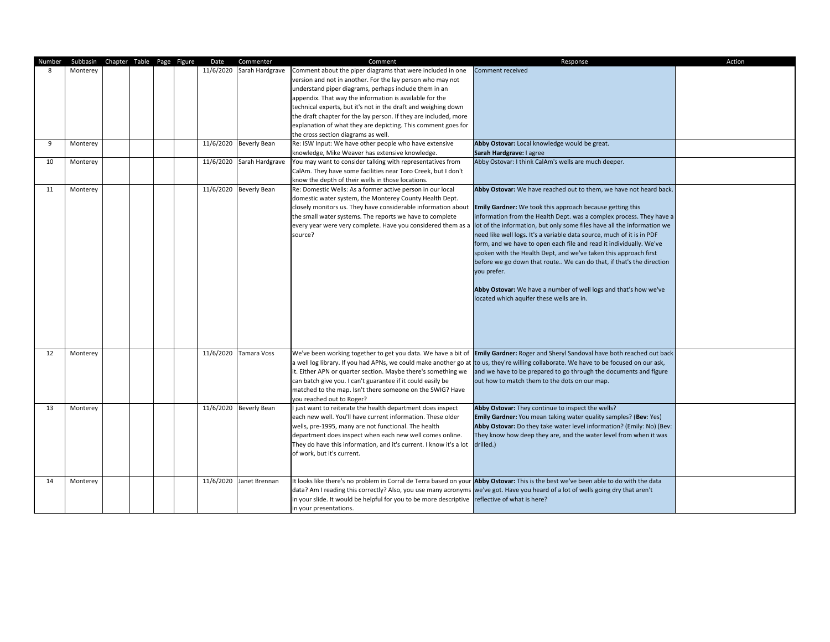| Number | Subbasin | Chapter Table Page Figure |  | Date      | Commenter               | Comment                                                                                                                        | Response                                                                                                                                 | Action |
|--------|----------|---------------------------|--|-----------|-------------------------|--------------------------------------------------------------------------------------------------------------------------------|------------------------------------------------------------------------------------------------------------------------------------------|--------|
| 8      | Monterey |                           |  | 11/6/2020 | Sarah Hardgrave         | Comment about the piper diagrams that were included in one                                                                     | Comment received                                                                                                                         |        |
|        |          |                           |  |           |                         | version and not in another. For the lay person who may not                                                                     |                                                                                                                                          |        |
|        |          |                           |  |           |                         | understand piper diagrams, perhaps include them in an                                                                          |                                                                                                                                          |        |
|        |          |                           |  |           |                         | appendix. That way the information is available for the                                                                        |                                                                                                                                          |        |
|        |          |                           |  |           |                         | technical experts, but it's not in the draft and weighing down                                                                 |                                                                                                                                          |        |
|        |          |                           |  |           |                         | the draft chapter for the lay person. If they are included, more                                                               |                                                                                                                                          |        |
|        |          |                           |  |           |                         | explanation of what they are depicting. This comment goes for                                                                  |                                                                                                                                          |        |
|        |          |                           |  |           |                         | the cross section diagrams as well.                                                                                            |                                                                                                                                          |        |
| 9      | Monterey |                           |  |           | 11/6/2020 Beverly Bean  | Re: ISW Input: We have other people who have extensive                                                                         | Abby Ostovar: Local knowledge would be great.                                                                                            |        |
|        |          |                           |  |           |                         | knowledge, Mike Weaver has extensive knowledge.                                                                                | Sarah Hardgrave: I agree                                                                                                                 |        |
| 10     | Monterey |                           |  | 11/6/2020 | Sarah Hardgrave         | You may want to consider talking with representatives from                                                                     | Abby Ostovar: I think CalAm's wells are much deeper.                                                                                     |        |
|        |          |                           |  |           |                         | CalAm. They have some facilities near Toro Creek, but I don't                                                                  |                                                                                                                                          |        |
|        |          |                           |  |           |                         | know the depth of their wells in those locations.                                                                              |                                                                                                                                          |        |
| 11     | Monterey |                           |  |           | 11/6/2020 Beverly Bean  | Re: Domestic Wells: As a former active person in our local                                                                     | Abby Ostovar: We have reached out to them, we have not heard back.                                                                       |        |
|        |          |                           |  |           |                         | domestic water system, the Monterey County Health Dept.                                                                        |                                                                                                                                          |        |
|        |          |                           |  |           |                         | closely monitors us. They have considerable information about <b>Emily Gardner:</b> We took this approach because getting this |                                                                                                                                          |        |
|        |          |                           |  |           |                         | the small water systems. The reports we have to complete                                                                       | information from the Health Dept. was a complex process. They have a                                                                     |        |
|        |          |                           |  |           |                         |                                                                                                                                | every year were very complete. Have you considered them as a lot of the information, but only some files have all the information we     |        |
|        |          |                           |  |           |                         | source?                                                                                                                        | need like well logs. It's a variable data source, much of it is in PDF                                                                   |        |
|        |          |                           |  |           |                         |                                                                                                                                | form, and we have to open each file and read it individually. We've                                                                      |        |
|        |          |                           |  |           |                         |                                                                                                                                | spoken with the Health Dept, and we've taken this approach first                                                                         |        |
|        |          |                           |  |           |                         |                                                                                                                                | before we go down that route We can do that, if that's the direction                                                                     |        |
|        |          |                           |  |           |                         |                                                                                                                                | you prefer.                                                                                                                              |        |
|        |          |                           |  |           |                         |                                                                                                                                |                                                                                                                                          |        |
|        |          |                           |  |           |                         |                                                                                                                                | Abby Ostovar: We have a number of well logs and that's how we've                                                                         |        |
|        |          |                           |  |           |                         |                                                                                                                                | located which aquifer these wells are in.                                                                                                |        |
|        |          |                           |  |           |                         |                                                                                                                                |                                                                                                                                          |        |
|        |          |                           |  |           |                         |                                                                                                                                |                                                                                                                                          |        |
|        |          |                           |  |           |                         |                                                                                                                                |                                                                                                                                          |        |
|        |          |                           |  |           |                         |                                                                                                                                |                                                                                                                                          |        |
|        |          |                           |  |           |                         |                                                                                                                                |                                                                                                                                          |        |
| 12     | Monterey |                           |  |           | 11/6/2020 Tamara Voss   |                                                                                                                                | We've been working together to get you data. We have a bit of <b>Emily Gardner:</b> Roger and Sheryl Sandoval have both reached out back |        |
|        |          |                           |  |           |                         |                                                                                                                                | a well log library. If you had APNs, we could make another go at to us, they're willing collaborate. We have to be focused on our ask,   |        |
|        |          |                           |  |           |                         | it. Either APN or quarter section. Maybe there's something we                                                                  | and we have to be prepared to go through the documents and figure                                                                        |        |
|        |          |                           |  |           |                         | can batch give you. I can't guarantee if it could easily be                                                                    | out how to match them to the dots on our map.                                                                                            |        |
|        |          |                           |  |           |                         | matched to the map. Isn't there someone on the SWIG? Have                                                                      |                                                                                                                                          |        |
|        |          |                           |  |           |                         | you reached out to Roger?                                                                                                      |                                                                                                                                          |        |
| 13     | Monterey |                           |  |           | 11/6/2020 Beverly Bean  | just want to reiterate the health department does inspect                                                                      | Abby Ostovar: They continue to inspect the wells?                                                                                        |        |
|        |          |                           |  |           |                         | each new well. You'll have current information. These older                                                                    | Emily Gardner: You mean taking water quality samples? (Bev: Yes)                                                                         |        |
|        |          |                           |  |           |                         | wells, pre-1995, many are not functional. The health                                                                           | Abby Ostovar: Do they take water level information? (Emily: No) (Bev:                                                                    |        |
|        |          |                           |  |           |                         | department does inspect when each new well comes online.                                                                       | They know how deep they are, and the water level from when it was                                                                        |        |
|        |          |                           |  |           |                         | They do have this information, and it's current. I know it's a lot                                                             | drilled.)                                                                                                                                |        |
|        |          |                           |  |           |                         | of work, but it's current.                                                                                                     |                                                                                                                                          |        |
|        |          |                           |  |           |                         |                                                                                                                                |                                                                                                                                          |        |
|        |          |                           |  |           |                         |                                                                                                                                |                                                                                                                                          |        |
| 14     | Monterey |                           |  |           | 11/6/2020 Janet Brennan |                                                                                                                                | It looks like there's no problem in Corral de Terra based on your Abby Ostovar: This is the best we've been able to do with the data     |        |
|        |          |                           |  |           |                         |                                                                                                                                | data? Am I reading this correctly? Also, you use many acronyms we've got. Have you heard of a lot of wells going dry that aren't         |        |
|        |          |                           |  |           |                         | in your slide. It would be helpful for you to be more descriptive reflective of what is here?                                  |                                                                                                                                          |        |
|        |          |                           |  |           |                         | in your presentations.                                                                                                         |                                                                                                                                          |        |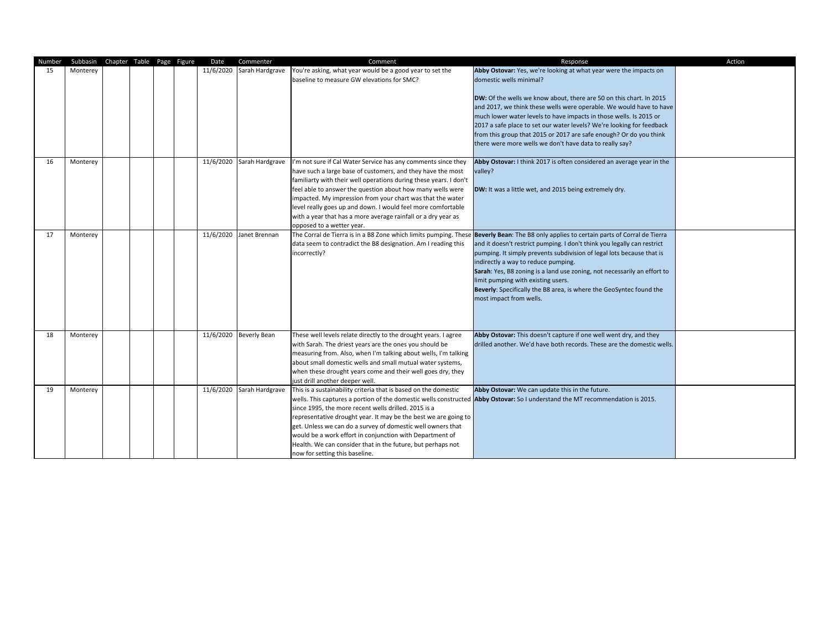| Number | Subbasin Chapter Table Page Figure |  |  | Date      | Commenter                 | Comment                                                           | Response                                                                                                                      | Action |
|--------|------------------------------------|--|--|-----------|---------------------------|-------------------------------------------------------------------|-------------------------------------------------------------------------------------------------------------------------------|--------|
| 15     | Monterey                           |  |  | 11/6/2020 | Sarah Hardgrave           | You're asking, what year would be a good year to set the          | Abby Ostovar: Yes, we're looking at what year were the impacts on                                                             |        |
|        |                                    |  |  |           |                           | baseline to measure GW elevations for SMC?                        | domestic wells minimal?                                                                                                       |        |
|        |                                    |  |  |           |                           |                                                                   |                                                                                                                               |        |
|        |                                    |  |  |           |                           |                                                                   | DW: Of the wells we know about, there are 50 on this chart. In 2015                                                           |        |
|        |                                    |  |  |           |                           |                                                                   | and 2017, we think these wells were operable. We would have to have                                                           |        |
|        |                                    |  |  |           |                           |                                                                   | much lower water levels to have impacts in those wells. Is 2015 or                                                            |        |
|        |                                    |  |  |           |                           |                                                                   | 2017 a safe place to set our water levels? We're looking for feedback                                                         |        |
|        |                                    |  |  |           |                           |                                                                   | from this group that 2015 or 2017 are safe enough? Or do you think                                                            |        |
|        |                                    |  |  |           |                           |                                                                   | there were more wells we don't have data to really say?                                                                       |        |
|        |                                    |  |  |           |                           |                                                                   |                                                                                                                               |        |
| 16     | Monterey                           |  |  |           | 11/6/2020 Sarah Hardgrave | I'm not sure if Cal Water Service has any comments since they     | Abby Ostovar: I think 2017 is often considered an average year in the                                                         |        |
|        |                                    |  |  |           |                           | have such a large base of customers, and they have the most       | valley?                                                                                                                       |        |
|        |                                    |  |  |           |                           | familiarty with their well operations during these years. I don't |                                                                                                                               |        |
|        |                                    |  |  |           |                           | feel able to answer the question about how many wells were        | DW: It was a little wet, and 2015 being extremely dry.                                                                        |        |
|        |                                    |  |  |           |                           | impacted. My impression from your chart was that the water        |                                                                                                                               |        |
|        |                                    |  |  |           |                           | level really goes up and down. I would feel more comfortable      |                                                                                                                               |        |
|        |                                    |  |  |           |                           | with a year that has a more average rainfall or a dry year as     |                                                                                                                               |        |
|        |                                    |  |  |           |                           | opposed to a wetter year.                                         |                                                                                                                               |        |
| 17     | Monterey                           |  |  | 11/6/2020 | Janet Brennan             | The Corral de Tierra is in a B8 Zone which limits pumping. These  | Beverly Bean: The B8 only applies to certain parts of Corral de Tierra                                                        |        |
|        |                                    |  |  |           |                           | data seem to contradict the B8 designation. Am I reading this     | and it doesn't restrict pumping. I don't think you legally can restrict                                                       |        |
|        |                                    |  |  |           |                           | incorrectly?                                                      | pumping. It simply prevents subdivision of legal lots because that is                                                         |        |
|        |                                    |  |  |           |                           |                                                                   | indirectly a way to reduce pumping.                                                                                           |        |
|        |                                    |  |  |           |                           |                                                                   | Sarah: Yes, B8 zoning is a land use zoning, not necessarily an effort to                                                      |        |
|        |                                    |  |  |           |                           |                                                                   | limit pumping with existing users.                                                                                            |        |
|        |                                    |  |  |           |                           |                                                                   | Beverly: Specifically the B8 area, is where the GeoSyntec found the                                                           |        |
|        |                                    |  |  |           |                           |                                                                   | most impact from wells.                                                                                                       |        |
|        |                                    |  |  |           |                           |                                                                   |                                                                                                                               |        |
|        |                                    |  |  |           |                           |                                                                   |                                                                                                                               |        |
| 18     | Monterey                           |  |  |           | 11/6/2020 Beverly Bean    | These well levels relate directly to the drought years. I agree   | Abby Ostovar: This doesn't capture if one well went dry, and they                                                             |        |
|        |                                    |  |  |           |                           | with Sarah. The driest years are the ones you should be           | drilled another. We'd have both records. These are the domestic wells.                                                        |        |
|        |                                    |  |  |           |                           | measuring from. Also, when I'm talking about wells, I'm talking   |                                                                                                                               |        |
|        |                                    |  |  |           |                           | about small domestic wells and small mutual water systems,        |                                                                                                                               |        |
|        |                                    |  |  |           |                           | when these drought years come and their well goes dry, they       |                                                                                                                               |        |
|        |                                    |  |  |           |                           | just drill another deeper well.                                   |                                                                                                                               |        |
| 19     | Monterey                           |  |  | 11/6/2020 | Sarah Hardgrave           | This is a sustainability criteria that is based on the domestic   | Abby Ostovar: We can update this in the future.                                                                               |        |
|        |                                    |  |  |           |                           |                                                                   | wells. This captures a portion of the domestic wells constructed Abby Ostovar: So I understand the MT recommendation is 2015. |        |
|        |                                    |  |  |           |                           | since 1995, the more recent wells drilled. 2015 is a              |                                                                                                                               |        |
|        |                                    |  |  |           |                           | representative drought year. It may be the best we are going to   |                                                                                                                               |        |
|        |                                    |  |  |           |                           | get. Unless we can do a survey of domestic well owners that       |                                                                                                                               |        |
|        |                                    |  |  |           |                           | would be a work effort in conjunction with Department of          |                                                                                                                               |        |
|        |                                    |  |  |           |                           | Health. We can consider that in the future, but perhaps not       |                                                                                                                               |        |
|        |                                    |  |  |           |                           | now for setting this baseline.                                    |                                                                                                                               |        |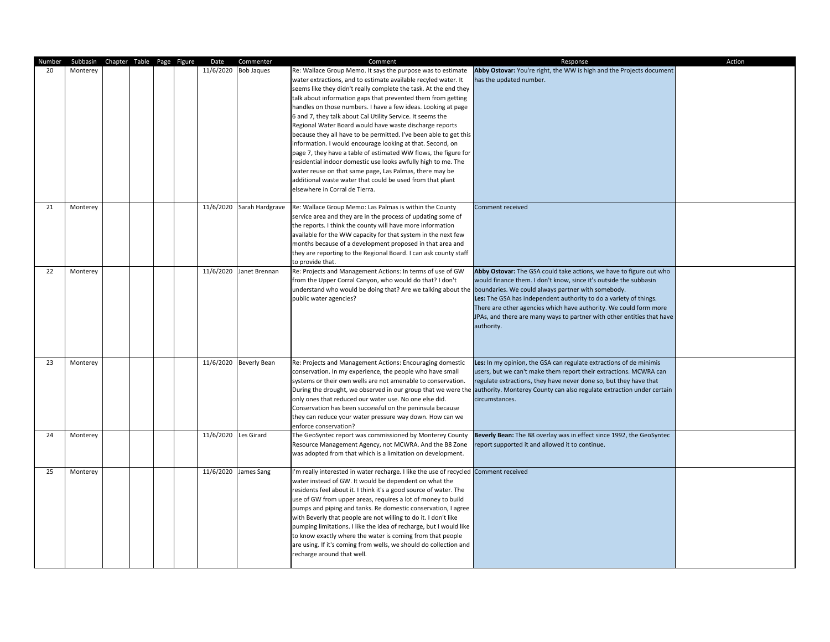| Number | Subbasin | Chapter Table Page Figure |  | Date                 | Commenter                 | Comment                                                                                                                                                                                                                                                                                                                                                                                                                                                                                                                                                                                                                                                                                                                                                                                                                                                                                      | Response                                                                                                                                                                                                                                                                                                                                                                   | Action |
|--------|----------|---------------------------|--|----------------------|---------------------------|----------------------------------------------------------------------------------------------------------------------------------------------------------------------------------------------------------------------------------------------------------------------------------------------------------------------------------------------------------------------------------------------------------------------------------------------------------------------------------------------------------------------------------------------------------------------------------------------------------------------------------------------------------------------------------------------------------------------------------------------------------------------------------------------------------------------------------------------------------------------------------------------|----------------------------------------------------------------------------------------------------------------------------------------------------------------------------------------------------------------------------------------------------------------------------------------------------------------------------------------------------------------------------|--------|
| 20     | Monterey |                           |  | 11/6/2020            | <b>Bob Jaques</b>         | Re: Wallace Group Memo. It says the purpose was to estimate<br>water extractions, and to estimate available recyled water. It<br>seems like they didn't really complete the task. At the end they<br>talk about information gaps that prevented them from getting<br>handles on those numbers. I have a few ideas. Looking at page<br>6 and 7, they talk about Cal Utility Service. It seems the<br>Regional Water Board would have waste discharge reports<br>because they all have to be permitted. I've been able to get this<br>information. I would encourage looking at that. Second, on<br>page 7, they have a table of estimated WW flows, the figure for<br>residential indoor domestic use looks awfully high to me. The<br>water reuse on that same page, Las Palmas, there may be<br>additional waste water that could be used from that plant<br>elsewhere in Corral de Tierra. | Abby Ostovar: You're right, the WW is high and the Projects document<br>as the updated number.                                                                                                                                                                                                                                                                             |        |
| 21     | Monterey |                           |  |                      | 11/6/2020 Sarah Hardgrave | Re: Wallace Group Memo: Las Palmas is within the County<br>service area and they are in the process of updating some of<br>the reports. I think the county will have more information<br>available for the WW capacity for that system in the next few<br>months because of a development proposed in that area and<br>they are reporting to the Regional Board. I can ask county staff<br>to provide that.                                                                                                                                                                                                                                                                                                                                                                                                                                                                                  | Comment received                                                                                                                                                                                                                                                                                                                                                           |        |
| 22     | Monterey |                           |  |                      | 11/6/2020 Janet Brennan   | Re: Projects and Management Actions: In terms of use of GW<br>from the Upper Corral Canyon, who would do that? I don't<br>understand who would be doing that? Are we talking about the boundaries. We could always partner with somebody.<br>public water agencies?                                                                                                                                                                                                                                                                                                                                                                                                                                                                                                                                                                                                                          | Abby Ostovar: The GSA could take actions, we have to figure out who<br>would finance them. I don't know, since it's outside the subbasin<br>Les: The GSA has independent authority to do a variety of things.<br>There are other agencies which have authority. We could form more<br>JPAs, and there are many ways to partner with other entities that have<br>authority. |        |
| 23     | Monterey |                           |  |                      | 11/6/2020 Beverly Bean    | Re: Projects and Management Actions: Encouraging domestic<br>conservation. In my experience, the people who have small<br>systems or their own wells are not amenable to conservation.<br>During the drought, we observed in our group that we were the<br>only ones that reduced our water use. No one else did.<br>Conservation has been successful on the peninsula because<br>they can reduce your water pressure way down. How can we<br>enforce conservation?                                                                                                                                                                                                                                                                                                                                                                                                                          | Les: In my opinion, the GSA can regulate extractions of de minimis<br>users, but we can't make them report their extractions. MCWRA can<br>egulate extractions, they have never done so, but they have that<br>authority. Monterey County can also regulate extraction under certain<br>circumstances.                                                                     |        |
| 24     | Monterey |                           |  | 11/6/2020 Les Girard |                           | The GeoSyntec report was commissioned by Monterey County<br>Resource Management Agency, not MCWRA. And the B8 Zone<br>was adopted from that which is a limitation on development.                                                                                                                                                                                                                                                                                                                                                                                                                                                                                                                                                                                                                                                                                                            | Beverly Bean: The B8 overlay was in effect since 1992, the GeoSyntec<br>eport supported it and allowed it to continue.                                                                                                                                                                                                                                                     |        |
| 25     | Monterey |                           |  |                      | 11/6/2020 James Sang      | I'm really interested in water recharge. I like the use of recycled Comment received<br>water instead of GW. It would be dependent on what the<br>residents feel about it. I think it's a good source of water. The<br>use of GW from upper areas, requires a lot of money to build<br>pumps and piping and tanks. Re domestic conservation, I agree<br>with Beverly that people are not willing to do it. I don't like<br>pumping limitations. I like the idea of recharge, but I would like<br>to know exactly where the water is coming from that people<br>are using. If it's coming from wells, we should do collection and<br>recharge around that well.                                                                                                                                                                                                                               |                                                                                                                                                                                                                                                                                                                                                                            |        |